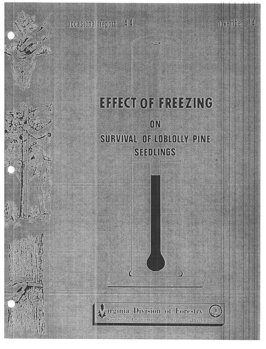occasional report 44

# EFFECT OF FREEZING  $\frac{1}{10}$ SURVIVAL OF LOBLOLLY PINE **SEEDLINGS**

november

irginia Division of Forestry Separtment of Conservation and Economic Development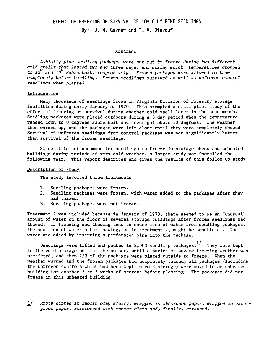## EFFECT OF FREEZING ON SURVIVAL OF LOBLOLLY PINE SEEDLINGS

By: J. w. Garner and T. A. Dierauf

## Abstract

Loblolly pine seedling packages were put out to freeze during two different cold spells that lasted two and three days, and during which,- temperatures dropped to  $12^{\circ}$  and  $10^{\circ}$  Fahrenheit, respectively. Frozen packages were allowed to thaw completely before handling. Frozen seedlings survived as well as unfrozen control seedlings when planted.

#### Introduction

Many thousands of seedlings froze in Virginia Division of Forestry storage facilities during early January of 1970. This prompted a small pilot study of the effect of freezing on survival during another cold spell later in the same month. Seedling packages were placed outdoors during a 3.day period when the temperature ranged down to 0 degrees Fahrenheit and never got above 30 degrees. The weather then warmed up, and the packages were left alone until they were completely thawed Survival of unfrozen seedlings from control packages was not significantly better than survival of the frozen seedlings.

Since it is not uncommon for seedlings to freeze in storage sheds and unheated buildings during periods of very cold weather, a larger study was installed the following year. This report describes and gives the results of this follow-up study.

#### Description of Study

The study involved three treatments

- 1. Seedling packages were froze
- 2. Seedling packages were frozen, with water added to the packages after the had thawed.
- 3. Seedling packages were not froze

Treatment 2 was included because in January of 1970. there seemed to be an "unusual" amount of water on the floor of several storage buildings after frozen seedlings had thawed. If freezing and thawing tend to cause loss of water from seedling packages. the addition of water after thawing. as in treatment 2. might be beneficial. The water was added by inserting a perforated pipe into the package.

Seedlings were lifted and packed in 2,000 seedling packages. $\frac{1}{x}$  They were kept in the cold storage unit at the nursery until a period of severe freezing weather was predicted, and then 2/3 of the packages were placed outside to freeze. When the weather warmed and the frozen packages had completely thawed, all packages (including the unfrozen controls which had been kept in cold storage) were moved to an unheated building for another 3 to 5 weeks of storage before planting. The packages did not freeze in this unheated building.

1/ Roots dipped in kaolin clay slurry, wrapped in absorbent paper, wrapped in waterproof paper, reinforced with veneer slats and, finally, strapped.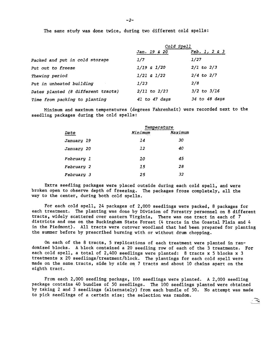The same study was done twice, during two different cold spells:

|                                    | Cold Spell       |                 |  |
|------------------------------------|------------------|-----------------|--|
|                                    | Jan. 19 & 20     | Feb. 1, 2 & 3   |  |
| Packed and put in cold storage     | 1/7              | 1/27            |  |
| Put out to freeze                  | $1/19$ & $1/20$  | $2/1$ to $2/3$  |  |
| Thawing period                     | $1/21$ & $1/22$  | $2/4$ to $2/7$  |  |
| Put in unheated building           | 1/23             | 2/8             |  |
| Dates planted (8 different tracts) | $2/11$ to $2/23$ | $3/2$ to $3/16$ |  |
| Time from packing to planting      | 41 to 47 days    | 34 to 48 days   |  |

Minimum and maximum temperatures (degrees Fahrenheit) were recorded next to the seedling packages during the cold spells:

|                          | Temperature |         |  |
|--------------------------|-------------|---------|--|
| Date                     | Minimum     | Maximum |  |
| <i><b>January 19</b></i> | 14          | 30      |  |
| <i><b>January 20</b></i> | 12          | 40      |  |
| February 1               | 10          | 45      |  |
| February 2               | 15          | 28      |  |
| <i>February 3</i>        | 25          | 32      |  |

Extra seedling packages were placed outside during each cold spell, and were broken open to observe depth of freezing. The packages froze completely, all the way to the center, during both cold spells.

For each cold spell, 24 packages of 2,000 seedlings were packed, 8 packages for each treatment. The planting was done by Division of Forestry personnel on 8 different tracts, widely scattered over eastern Virginia. There was one tract in each of 7 districts and one on the Buckingham State Forest (4 tracts in the Coastal Plain and 4 in the Piedmont). All tracts were cutover woodland that had been prepared for planting the summer before by prescribed burning with or without drum chopping.

On each of the 8 tracts, 5 replications of each treatment were planted in randomized blocks. A block contained a 20 seedling row of each of the 3 treatments. Fo each cold spell, a total of 2,400 seedlings were planted: 8 tracts x 5 blocks x 3 treatments x 20 seedlings/treatment/block. The plantings for each cold spell were made on the same tracts, side by side on 7 tracts and about 10 chains apart on the eighth tract.

From each 2,000 seedling package, 100 seedlings were planted. A 2,000 seedling package contains 40 bundles of 50 seedlings. The 100 seedlings planted were obtained by taking 2 and 3 seedlings (alternately) from each bundle of 50. No attempt was made to pick seedlings of a certain size; the selection was random.

> ~~  $\equiv$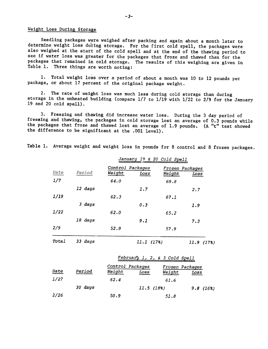### Weight Loss During Storage

Seedling packages were weighed after packing and again about a month later to determine weight loss during storage. For the first cold spell, the packages were also weighed at the start of the cold spell and at the end of the thawing period to see if water loss was greater for the packages that froze and thawed than for the packages that remained in cold storage. The results of this weighing are given in Table I. Three things are worth noting:

1. Total weight loss over a period of about a month was 10 to 12 pounds per package. or about 17 percent of the original package weight.

2. The rate of weight loss was much less during cold storage than during storage in the unheated building (compare 1/7 to 1/19 with 1/22 to 2/9 for the January 19 and 20 cold spell).

3. Freezing and thawing did increase water loss. During the 3 day period of freezing and thawing, the packages in cold storage lost an average of 0.3 pounds while the packages that froze and thawed lost an average of 1.9 pounds. (A "t" test showed the difference to be significant at the .001 level).

Table I. Average weight and weight loss in pounds for 8 control and 8 frozen packages.

|             |         |                                    | January 19 & 20 Cold Spell |                                          |            |  |
|-------------|---------|------------------------------------|----------------------------|------------------------------------------|------------|--|
| Date<br>1/7 | Period  | Control Packages<br>Weight<br>64.0 | Loss                       | Frozen Packages<br><u>Weight</u><br>69.8 | Loss       |  |
|             | 12 days |                                    | 1.7                        |                                          | 2.7        |  |
| 1/19        |         | 62.3                               |                            | 67.1                                     |            |  |
|             | 3 days  |                                    | 0.3                        |                                          | 1.9        |  |
| 1/22        |         | 62.0                               |                            | 65.2                                     |            |  |
|             | 18 days |                                    | 9.1                        |                                          | 7.3        |  |
| 2/9         |         | 52.9                               |                            | 57.9                                     |            |  |
| Total       | 33 days |                                    | 11.1(17%)                  |                                          | 11.9 (17%) |  |
|             |         |                                    |                            | February 1, 2, & 3 Cold Spell            |            |  |
| Date        | Period  | Control Packages<br>Weight         | Loss                       | Frozen Packages<br>Weight                | Loss       |  |
| 1/27        |         | 62.4                               |                            | 61.6                                     |            |  |
|             | 30 days |                                    | 11.5(18%)                  |                                          | 9.8(16%)   |  |
| 2/26        |         | 50.9                               |                            | 51.8                                     |            |  |

-3-